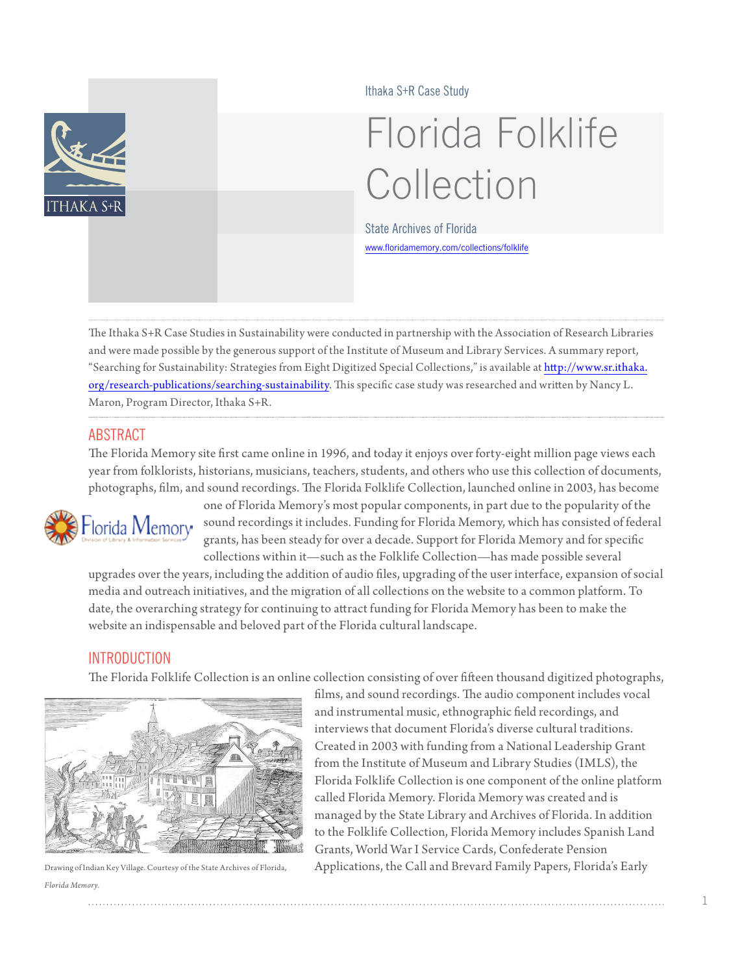

Ithaka S+R Case Study

# Florida Folklife Collection

State Archives of Florida <www.floridamemory.com/collections/folklife>

The Ithaka S+R Case Studies in Sustainability were conducted in partnership with the Association of Research Libraries and were made possible by the generous support of the Institute of Museum and Library Services. A summary report, "Searching for Sustainability: Strategies from Eight Digitized Special Collections," is available at [http://www.sr.ithaka.](http://www.sr.ithaka.org/research-publications/searching-sustainability) [org/research-publications/searching-](http://www.sr.ithaka.org/research-publications/searching-sustainability)sustainability. This specific case study was researched and written by Nancy L. Maron, Program Director, Ithaka S+R.

## ABSTRACT

The Florida Memory site first came online in 1996, and today it enjoys over forty-eight million page views each year from folklorists, historians, musicians, teachers, students, and others who use this collection of documents, photographs, film, and sound recordings. The Florida Folklife Collection, launched online in 2003, has become



one of Florida Memory's most popular components, in part due to the popularity of the sound recordings it includes. Funding for Florida Memory, which has consisted of federal grants, has been steady for over a decade. Support for Florida Memory and for specific collections within it—such as the Folklife Collection—has made possible several

upgrades over the years, including the addition of audio files, upgrading of the user interface, expansion of social media and outreach initiatives, and the migration of all collections on the website to a common platform. To date, the overarching strategy for continuing to attract funding for Florida Memory has been to make the website an indispensable and beloved part of the Florida cultural landscape.

## **INTRODUCTION**

The Florida Folklife Collection is an online collection consisting of over fifteen thousand digitized photographs,



*Florida Memory.*

films, and sound recordings. The audio component includes vocal and instrumental music, ethnographic field recordings, and interviews that document Florida's diverse cultural traditions. Created in 2003 with funding from a National Leadership Grant from the Institute of Museum and Library Studies (IMLS), the Florida Folklife Collection is one component of the online platform called Florida Memory. Florida Memory was created and is managed by the State Library and Archives of Florida. In addition to the Folklife Collection, Florida Memory includes Spanish Land Grants, World War I Service Cards, Confederate Pension Drawing of Indian Key Village. Courtesy of the State Archives of Florida, Applications, the Call and Brevard Family Papers, Florida's Early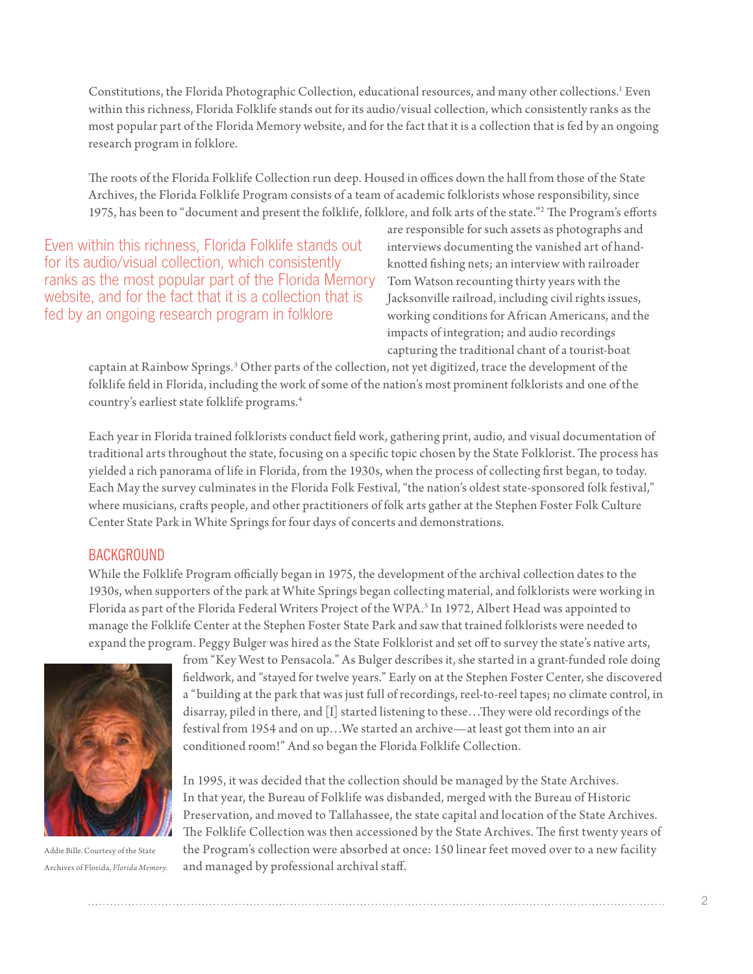Constitutions, the Florida Photographic Collection, educational resources, and many other collections.<sup>1</sup> Even within this richness, Florida Folklife stands out for its audio/visual collection, which consistently ranks as the most popular part of the Florida Memory website, and for the fact that it is a collection that is fed by an ongoing research program in folklore.

The roots of the Florida Folklife Collection run deep. Housed in offices down the hall from those of the State Archives, the Florida Folklife Program consists of a team of academic folklorists whose responsibility, since 1975, has been to "document and present the folklife, folklore, and folk arts of the state."[2](#page-10-1) The Program's efforts

Even within this richness, Florida Folklife stands out for its audio/visual collection, which consistently ranks as the most popular part of the Florida Memory website, and for the fact that it is a collection that is fed by an ongoing research program in folklore

are responsible for such assets as photographs and interviews documenting the vanished art of handknotted fishing nets; an interview with railroader Tom Watson recounting thirty years with the Jacksonville railroad, including civil rights issues, working conditions for African Americans, and the impacts of integration; and audio recordings capturing the traditional chant of a tourist-boat

captain at Rainbow Springs.<sup>[3](#page-10-2)</sup> Other parts of the collection, not yet digitized, trace the development of the folklife field in Florida, including the work of some of the nation's most prominent folklorists and one of the country's earliest state folklife programs.[4](#page-10-3)

Each year in Florida trained folklorists conduct field work, gathering print, audio, and visual documentation of traditional arts throughout the state, focusing on a specific topic chosen by the State Folklorist. The process has yielded a rich panorama of life in Florida, from the 1930s, when the process of collecting first began, to today. Each May the survey culminates in the Florida Folk Festival, "the nation's oldest state-sponsored folk festival," where musicians, crafts people, and other practitioners of folk arts gather at the Stephen Foster Folk Culture Center State Park in White Springs for four days of concerts and demonstrations.

#### **BACKGROUND**

While the Folklife Program officially began in 1975, the development of the archival collection dates to the 1930s, when supporters of the park at White Springs began collecting material, and folklorists were working in Florida as part of the Florida Federal Writers Project of the WPA.<sup>[5](#page-10-4)</sup> In 1972, Albert Head was appointed to manage the Folklife Center at the Stephen Foster State Park and saw that trained folklorists were needed to expand the program. Peggy Bulger was hired as the State Folklorist and set off to survey the state's native arts,



Addie Bille. Courtesy of the State Archives of Florida, *Florida Memory.*

from "Key West to Pensacola." As Bulger describes it, she started in a grant-funded role doing fieldwork, and "stayed for twelve years." Early on at the Stephen Foster Center, she discovered a "building at the park that was just full of recordings, reel-to-reel tapes; no climate control, in disarray, piled in there, and [I] started listening to these…They were old recordings of the festival from 1954 and on up…We started an archive—at least got them into an air conditioned room!" And so began the Florida Folklife Collection.

In 1995, it was decided that the collection should be managed by the State Archives. In that year, the Bureau of Folklife was disbanded, merged with the Bureau of Historic Preservation, and moved to Tallahassee, the state capital and location of the State Archives. The Folklife Collection was then accessioned by the State Archives. The first twenty years of the Program's collection were absorbed at once: 150 linear feet moved over to a new facility and managed by professional archival staff.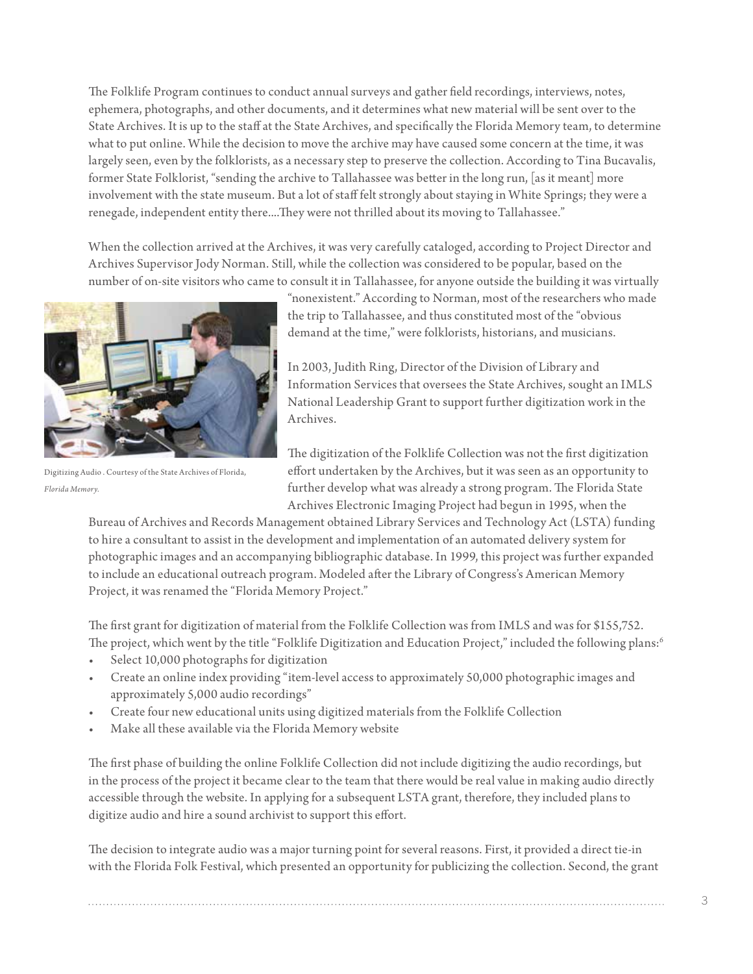The Folklife Program continues to conduct annual surveys and gather field recordings, interviews, notes, ephemera, photographs, and other documents, and it determines what new material will be sent over to the State Archives. It is up to the staff at the State Archives, and specifically the Florida Memory team, to determine what to put online. While the decision to move the archive may have caused some concern at the time, it was largely seen, even by the folklorists, as a necessary step to preserve the collection. According to Tina Bucavalis, former State Folklorist, "sending the archive to Tallahassee was better in the long run, [as it meant] more involvement with the state museum. But a lot of staff felt strongly about staying in White Springs; they were a renegade, independent entity there....They were not thrilled about its moving to Tallahassee."

When the collection arrived at the Archives, it was very carefully cataloged, according to Project Director and Archives Supervisor Jody Norman. Still, while the collection was considered to be popular, based on the number of on-site visitors who came to consult it in Tallahassee, for anyone outside the building it was virtually



Digitizing Audio . Courtesy of the State Archives of Florida, *Florida Memory.*

"nonexistent." According to Norman, most of the researchers who made the trip to Tallahassee, and thus constituted most of the "obvious demand at the time," were folklorists, historians, and musicians.

In 2003, Judith Ring, Director of the Division of Library and Information Services that oversees the State Archives, sought an IMLS National Leadership Grant to support further digitization work in the Archives.

The digitization of the Folklife Collection was not the first digitization effort undertaken by the Archives, but it was seen as an opportunity to further develop what was already a strong program. The Florida State Archives Electronic Imaging Project had begun in 1995, when the

Bureau of Archives and Records Management obtained Library Services and Technology Act (LSTA) funding to hire a consultant to assist in the development and implementation of an automated delivery system for photographic images and an accompanying bibliographic database. In 1999, this project was further expanded to include an educational outreach program. Modeled after the Library of Congress's American Memory Project, it was renamed the "Florida Memory Project."

The first grant for digitization of material from the Folklife Collection was from IMLS and was for \$155,752. The project, which went by the title "Folklife Digitization and Education Project," included the following plans:[6](#page-10-5)

- Select 10,000 photographs for digitization
- Create an online index providing "item-level access to approximately 50,000 photographic images and approximately 5,000 audio recordings"
- Create four new educational units using digitized materials from the Folklife Collection
- Make all these available via the Florida Memory website

The first phase of building the online Folklife Collection did not include digitizing the audio recordings, but in the process of the project it became clear to the team that there would be real value in making audio directly accessible through the website. In applying for a subsequent LSTA grant, therefore, they included plans to digitize audio and hire a sound archivist to support this effort.

The decision to integrate audio was a major turning point for several reasons. First, it provided a direct tie-in with the Florida Folk Festival, which presented an opportunity for publicizing the collection. Second, the grant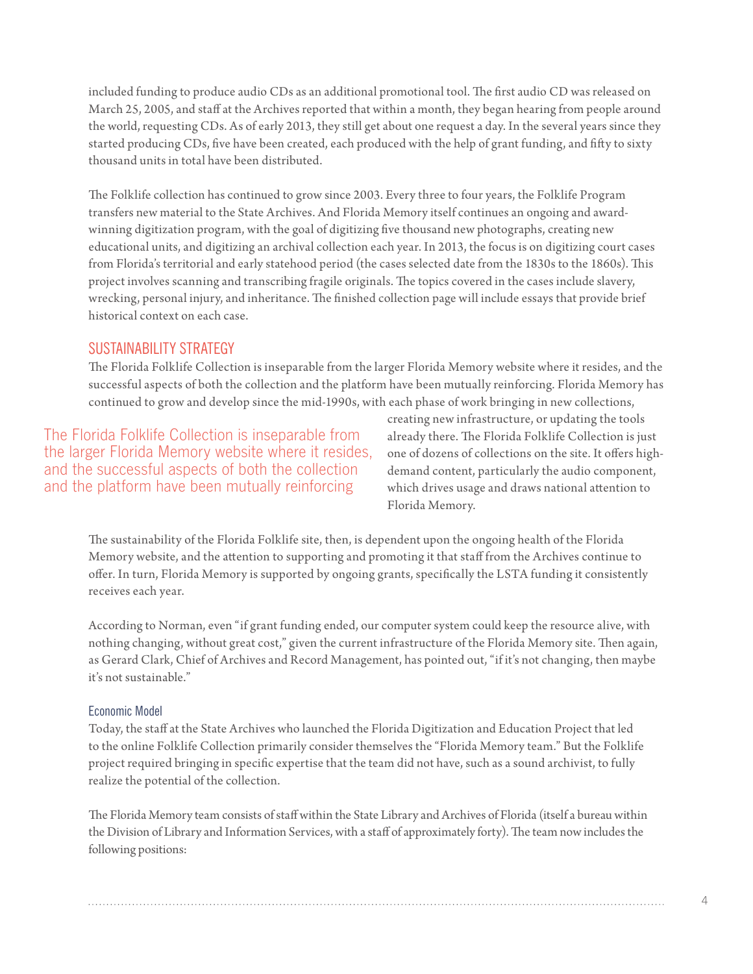included funding to produce audio CDs as an additional promotional tool. The first audio CD was released on March 25, 2005, and staff at the Archives reported that within a month, they began hearing from people around the world, requesting CDs. As of early 2013, they still get about one request a day. In the several years since they started producing CDs, five have been created, each produced with the help of grant funding, and fifty to sixty thousand units in total have been distributed.

The Folklife collection has continued to grow since 2003. Every three to four years, the Folklife Program transfers new material to the State Archives. And Florida Memory itself continues an ongoing and awardwinning digitization program, with the goal of digitizing five thousand new photographs, creating new educational units, and digitizing an archival collection each year. In 2013, the focus is on digitizing court cases from Florida's territorial and early statehood period (the cases selected date from the 1830s to the 1860s). This project involves scanning and transcribing fragile originals. The topics covered in the cases include slavery, wrecking, personal injury, and inheritance. The finished collection page will include essays that provide brief historical context on each case.

#### SUSTAINABILITY STRATEGY

The Florida Folklife Collection is inseparable from the larger Florida Memory website where it resides, and the successful aspects of both the collection and the platform have been mutually reinforcing. Florida Memory has continued to grow and develop since the mid-1990s, with each phase of work bringing in new collections,

The Florida Folklife Collection is inseparable from the larger Florida Memory website where it resides, and the successful aspects of both the collection and the platform have been mutually reinforcing

creating new infrastructure, or updating the tools already there. The Florida Folklife Collection is just one of dozens of collections on the site. It offers highdemand content, particularly the audio component, which drives usage and draws national attention to Florida Memory.

The sustainability of the Florida Folklife site, then, is dependent upon the ongoing health of the Florida Memory website, and the attention to supporting and promoting it that staff from the Archives continue to offer. In turn, Florida Memory is supported by ongoing grants, specifically the LSTA funding it consistently receives each year.

According to Norman, even "if grant funding ended, our computer system could keep the resource alive, with nothing changing, without great cost," given the current infrastructure of the Florida Memory site. Then again, as Gerard Clark, Chief of Archives and Record Management, has pointed out, "if it's not changing, then maybe it's not sustainable."

#### Economic Model

Today, the staff at the State Archives who launched the Florida Digitization and Education Project that led to the online Folklife Collection primarily consider themselves the "Florida Memory team." But the Folklife project required bringing in specific expertise that the team did not have, such as a sound archivist, to fully realize the potential of the collection.

The Florida Memory team consists of staff within the State Library and Archives of Florida (itself a bureau within the Division of Library and Information Services, with a staff of approximately forty). The team now includes the following positions: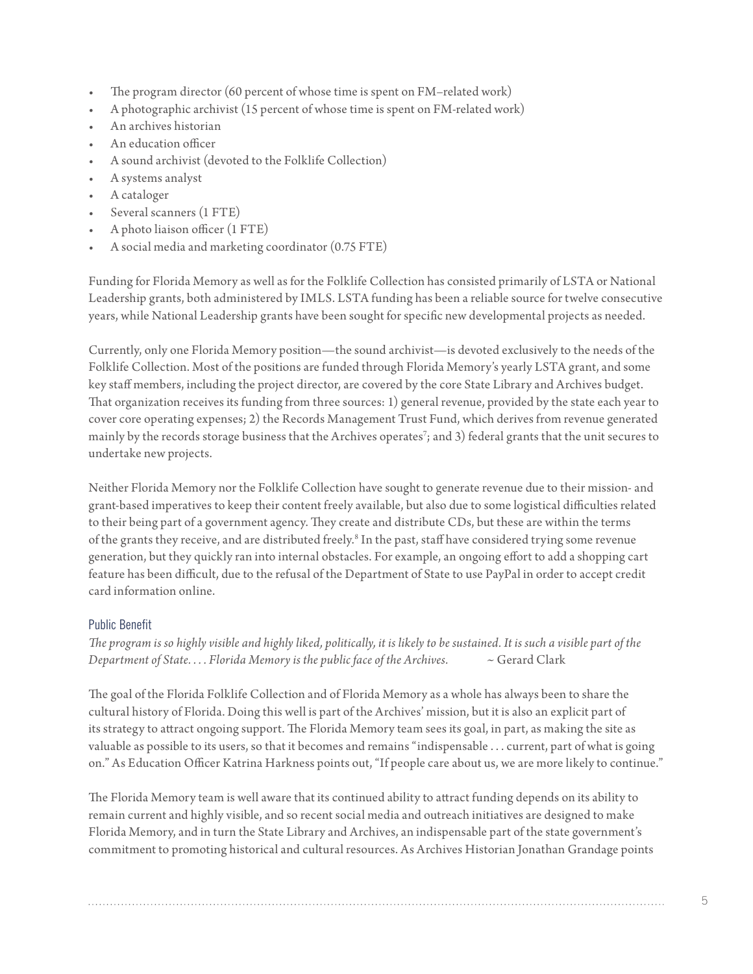- The program director (60 percent of whose time is spent on FM-related work)
- A photographic archivist (15 percent of whose time is spent on FM-related work)
- An archives historian
- An education officer
- A sound archivist (devoted to the Folklife Collection)
- A systems analyst
- A cataloger
- Several scanners (1 FTE)
- A photo liaison officer (1 FTE)
- A social media and marketing coordinator (0.75 FTE)

Funding for Florida Memory as well as for the Folklife Collection has consisted primarily of LSTA or National Leadership grants, both administered by IMLS. LSTA funding has been a reliable source for twelve consecutive years, while National Leadership grants have been sought for specific new developmental projects as needed.

Currently, only one Florida Memory position—the sound archivist—is devoted exclusively to the needs of the Folklife Collection. Most of the positions are funded through Florida Memory's yearly LSTA grant, and some key staff members, including the project director, are covered by the core State Library and Archives budget. That organization receives its funding from three sources: 1) general revenue, provided by the state each year to cover core operating expenses; 2) the Records Management Trust Fund, which derives from revenue generated mainly by the records storage business that the Archives operates $\vec{\ }$ ; and 3) federal grants that the unit secures to undertake new projects.

Neither Florida Memory nor the Folklife Collection have sought to generate revenue due to their mission- and grant-based imperatives to keep their content freely available, but also due to some logistical difficulties related to their being part of a government agency. They create and distribute CDs, but these are within the terms of the grants they receive, and are distributed freely.<sup>[8](#page-10-7)</sup> In the past, staff have considered trying some revenue generation, but they quickly ran into internal obstacles. For example, an ongoing effort to add a shopping cart feature has been difficult, due to the refusal of the Department of State to use PayPal in order to accept credit card information online.

### Public Benefit

*The program is so highly visible and highly liked, politically, it is likely to be sustained. It is such a visible part of the Department of State. . . . Florida Memory is the public face of the Archives.* ~ Gerard Clark

The goal of the Florida Folklife Collection and of Florida Memory as a whole has always been to share the cultural history of Florida. Doing this well is part of the Archives' mission, but it is also an explicit part of its strategy to attract ongoing support. The Florida Memory team sees its goal, in part, as making the site as valuable as possible to its users, so that it becomes and remains "indispensable . . . current, part of what is going on." As Education Officer Katrina Harkness points out, "If people care about us, we are more likely to continue."

The Florida Memory team is well aware that its continued ability to attract funding depends on its ability to remain current and highly visible, and so recent social media and outreach initiatives are designed to make Florida Memory, and in turn the State Library and Archives, an indispensable part of the state government's commitment to promoting historical and cultural resources. As Archives Historian Jonathan Grandage points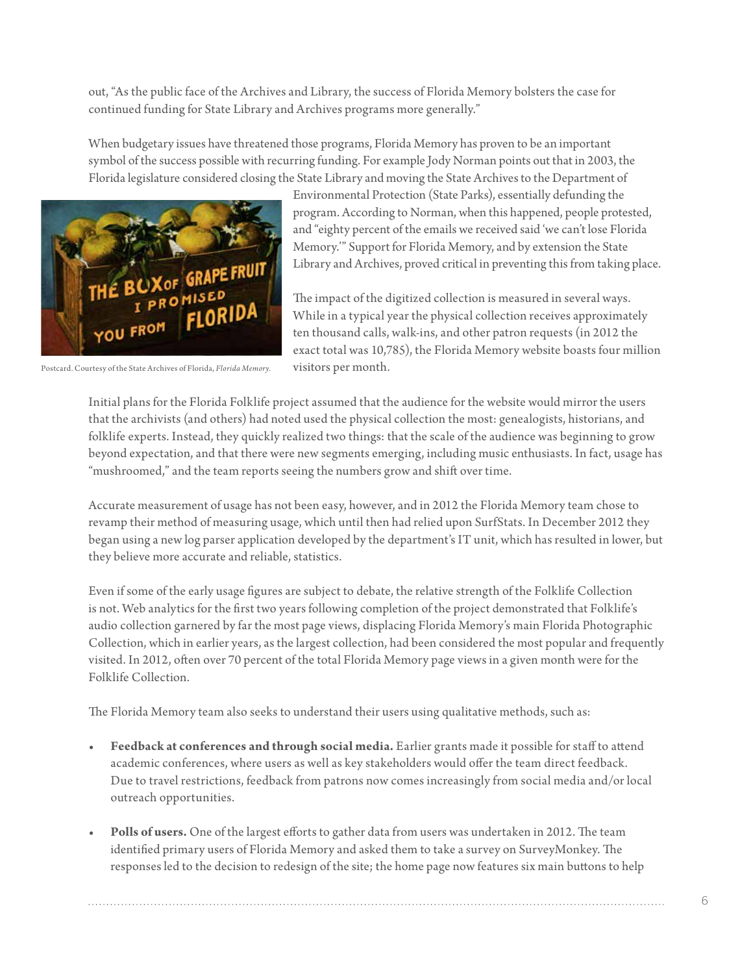out, "As the public face of the Archives and Library, the success of Florida Memory bolsters the case for continued funding for State Library and Archives programs more generally."

When budgetary issues have threatened those programs, Florida Memory has proven to be an important symbol of the success possible with recurring funding. For example Jody Norman points out that in 2003, the Florida legislature considered closing the State Library and moving the State Archives to the Department of



Postcard. Courtesy of the State Archives of Florida, *Florida Memory.*

Environmental Protection (State Parks), essentially defunding the program. According to Norman, when this happened, people protested, and "eighty percent of the emails we received said 'we can't lose Florida Memory.'" Support for Florida Memory, and by extension the State Library and Archives, proved critical in preventing this from taking place.

The impact of the digitized collection is measured in several ways. While in a typical year the physical collection receives approximately ten thousand calls, walk-ins, and other patron requests (in 2012 the exact total was 10,785), the Florida Memory website boasts four million visitors per month.

Initial plans for the Florida Folklife project assumed that the audience for the website would mirror the users that the archivists (and others) had noted used the physical collection the most: genealogists, historians, and folklife experts. Instead, they quickly realized two things: that the scale of the audience was beginning to grow beyond expectation, and that there were new segments emerging, including music enthusiasts. In fact, usage has "mushroomed," and the team reports seeing the numbers grow and shift over time.

Accurate measurement of usage has not been easy, however, and in 2012 the Florida Memory team chose to revamp their method of measuring usage, which until then had relied upon SurfStats. In December 2012 they began using a new log parser application developed by the department's IT unit, which has resulted in lower, but they believe more accurate and reliable, statistics.

Even if some of the early usage figures are subject to debate, the relative strength of the Folklife Collection is not. Web analytics for the first two years following completion of the project demonstrated that Folklife's audio collection garnered by far the most page views, displacing Florida Memory's main Florida Photographic Collection, which in earlier years, as the largest collection, had been considered the most popular and frequently visited. In 2012, often over 70 percent of the total Florida Memory page views in a given month were for the Folklife Collection.

The Florida Memory team also seeks to understand their users using qualitative methods, such as:

- **• Feedback at conferences and through social media.** Earlier grants made it possible for staff to attend academic conferences, where users as well as key stakeholders would offer the team direct feedback. Due to travel restrictions, feedback from patrons now comes increasingly from social media and/or local outreach opportunities.
- **• Polls of users.** One of the largest efforts to gather data from users was undertaken in 2012. The team identified primary users of Florida Memory and asked them to take a survey on SurveyMonkey. The responses led to the decision to redesign of the site; the home page now features six main buttons to help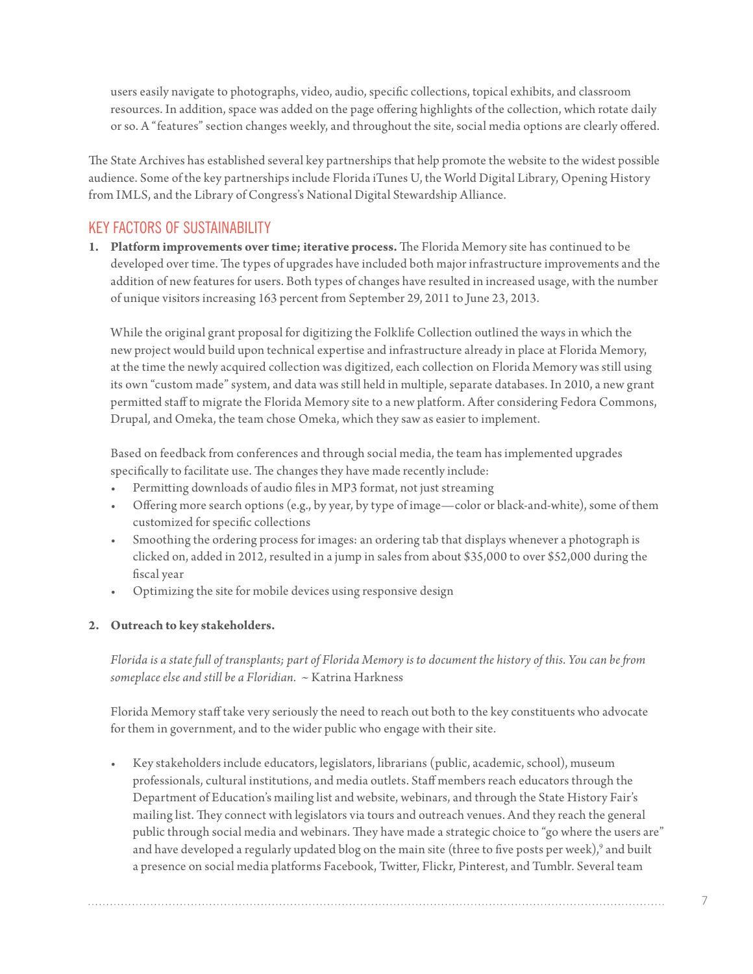users easily navigate to photographs, video, audio, specific collections, topical exhibits, and classroom resources. In addition, space was added on the page offering highlights of the collection, which rotate daily or so. A "features" section changes weekly, and throughout the site, social media options are clearly offered.

The State Archives has established several key partnerships that help promote the website to the widest possible audience. Some of the key partnerships include Florida iTunes U, the World Digital Library, Opening History from IMLS, and the Library of Congress's National Digital Stewardship Alliance.

## KEY FACTORS OF SUSTAINABILITY

**1. Platform improvements overtime; iterative process.** The Florida Memory site has continued to be developed over time. The types of upgrades have included both major infrastructure improvements and the addition of new features for users. Both types of changes have resulted in increased usage, with the number of unique visitors increasing 163 percent from September 29, 2011 to June 23, 2013.

While the original grant proposal for digitizing the Folklife Collection outlined the ways in which the new project would build upon technical expertise and infrastructure already in place at Florida Memory, at the time the newly acquired collection was digitized, each collection on Florida Memory was still using its own "custom made" system, and data was still held in multiple, separate databases. In 2010, a new grant permitted staff to migrate the Florida Memory site to a new platform. After considering Fedora Commons, Drupal, and Omeka, the team chose Omeka, which they saw as easier to implement.

Based on feedback from conferences and through social media, the team has implemented upgrades specifically to facilitate use. The changes they have made recently include:

- Permitting downloads of audio files in MP3 format, not just streaming
- Offering more search options (e.g., by year, by type of image—color or black-and-white), some of them customized for specific collections
- Smoothing the ordering process for images: an ordering tab that displays whenever a photograph is clicked on, added in 2012, resulted in a jump in sales from about \$35,000 to over \$52,000 during the fiscal year
- • Optimizing the site for mobile devices using responsive design

### **2. Outreach to key stakeholders.**

*Florida is a state full of transplants; part of Florida Memory is to document the history of this. You can be from someplace else and still be a Floridian.* ~ Katrina Harkness

Florida Memory staff take very seriously the need to reach out both to the key constituents who advocate for them in government, and to the wider public who engage with their site.

Key stakeholders include educators, legislators, librarians (public, academic, school), museum professionals, cultural institutions, and media outlets. Staff members reach educators through the Department of Education's mailing list and website, webinars, and through the State History Fair's mailing list. They connect with legislators via tours and outreach venues. And they reach the general public through social media and webinars. They have made a strategic choice to "go where the users are" and have developed a regularly updated blog on the main site (three to five posts per week), $^9$  and built a presence on social media platforms Facebook, Twitter, Flickr, Pinterest, and Tumblr. Several team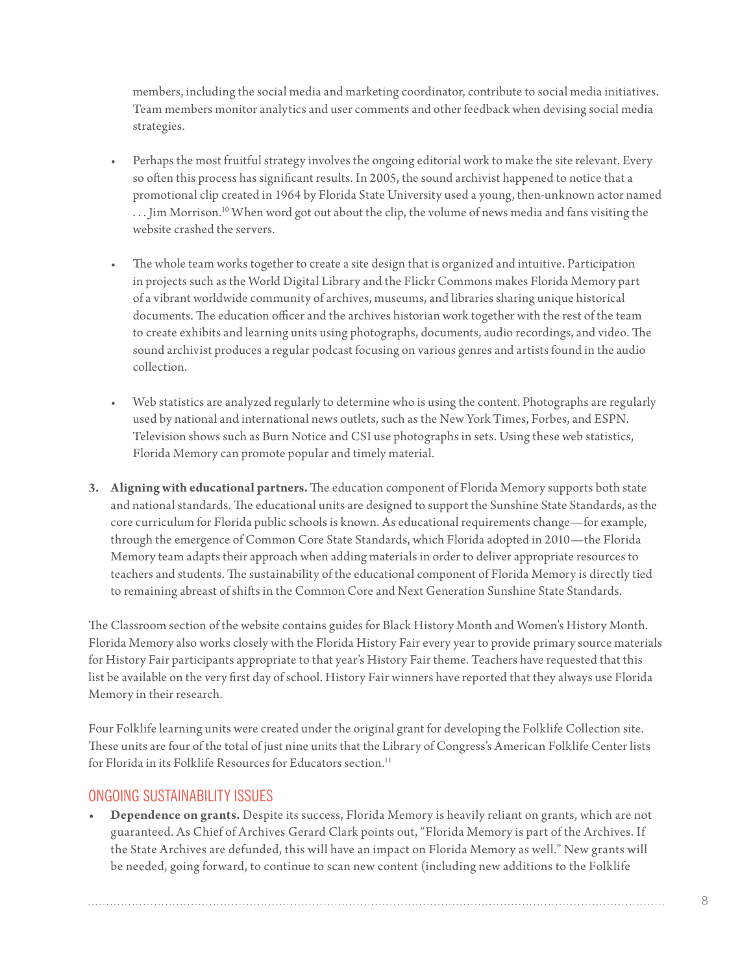members, including the social media and marketing coordinator, contribute to social media initiatives. Team members monitor analytics and user comments and other feedback when devising social media strategies.

- Perhaps the most fruitful strategy involves the ongoing editorial work to make the site relevant. Every so often this process has significant results. In 2005, the sound archivist happened to notice that a promotional clip created in 1964 by Florida State University used a young, then-unknown actor named ... Jim Morrison.<sup>10</sup> When word got out about the clip, the volume of news media and fans visiting the website crashed the servers.
- The whole team works together to create a site design that is organized and intuitive. Participation in projects such as the World Digital Library and the Flickr Commons makes Florida Memory part of a vibrant worldwide community of archives, museums, and libraries sharing unique historical documents. The education officer and the archives historian work together with the rest of the team to create exhibits and learning units using photographs, documents, audio recordings, and video. The sound archivist produces a regular podcast focusing on various genres and artists found in the audio collection.
- Web statistics are analyzed regularly to determine who is using the content. Photographs are regularly used by national and international news outlets, such as the New York Times, Forbes, and ESPN. Television shows such as Burn Notice and CSI use photographs in sets. Using these web statistics, Florida Memory can promote popular and timely material.
- **3. Aligning with educational partners.** The education component of Florida Memory supports both state and national standards. The educational units are designed to support the Sunshine State Standards, as the core curriculum for Florida public schools is known. As educational requirements change—for example, through the emergence of Common Core State Standards, which Florida adopted in 2010—the Florida Memory team adapts their approach when adding materials in order to deliver appropriate resources to teachers and students. The sustainability of the educational component of Florida Memory is directly tied to remaining abreast of shifts in the Common Core and Next Generation Sunshine State Standards.

The Classroom section of the website contains guides for Black History Month and Women's History Month. Florida Memory also works closely with the Florida History Fair every year to provide primary source materials for History Fair participants appropriate to that year's History Fair theme. Teachers have requested that this list be available on the very first day of school. History Fair winners have reported that they always use Florida Memory in their research.

Four Folklife learning units were created under the original grant for developing the Folklife Collection site. These units are four of the total of just nine units that the Library of Congress's American Folklife Center lists for Florida in its Folklife Resources for Educators section.<sup>[11](#page-10-10)</sup>

## ONGOING SUSTAINABILITY ISSUES

**• Dependence on grants.** Despite its success, Florida Memory is heavily reliant on grants, which are not guaranteed. As Chief of Archives Gerard Clark points out, "Florida Memory is part of the Archives. If the State Archives are defunded, this will have an impact on Florida Memory as well." New grants will be needed, going forward, to continue to scan new content (including new additions to the Folklife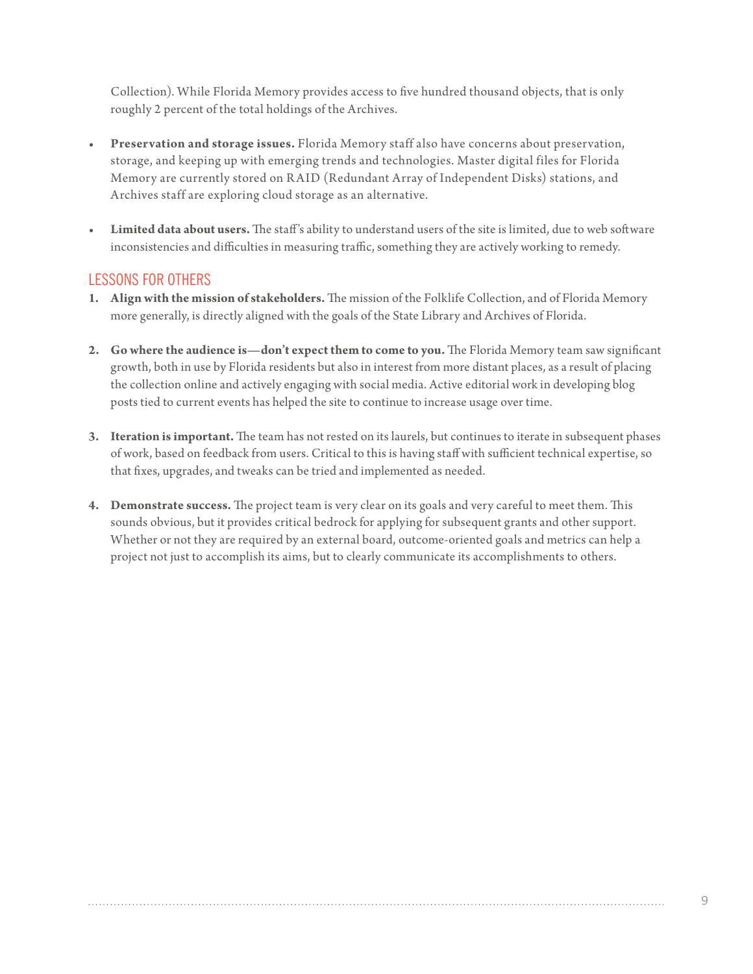Collection). While Florida Memory provides access to five hundred thousand objects, that is only roughly 2 percent of the total holdings of the Archives.

- **• Preservation and storage issues.** Florida Memory staff also have concerns about preservation, storage, and keeping up with emerging trends and technologies. Master digital files for Florida Memory are currently stored on R AID (Redundant Array of Independent Disks) stations, and Archives staff are exploring cloud storage as an alternative.
- **• Limited data about users.** The staff's ability to understand users of the site is limited, due to web software inconsistencies and difficulties in measuring traffic, something they are actively working to remedy.

## LESSONS FOR OTHERS

- **1. Align with the mission ofstakeholders.** The mission of the Folklife Collection, and of Florida Memory more generally, is directly aligned with the goals of the State Library and Archives of Florida.
- **2. Go where the audience is—don't expect them to come to you.** The Florida Memory team saw significant growth, both in use by Florida residents but also in interest from more distant places, as a result of placing the collection online and actively engaging with social media. Active editorial work in developing blog posts tied to current events has helped the site to continue to increase usage over time.
- **3. Iteration isimportant.** The team has not rested on its laurels, but continues to iterate in subsequent phases of work, based on feedback from users. Critical to this is having staff with sufficient technical expertise, so that fixes, upgrades, and tweaks can be tried and implemented as needed.
- **4. Demonstrate success.** The project team is very clear on its goals and very careful to meet them. This sounds obvious, but it provides critical bedrock for applying for subsequent grants and other support. Whether or not they are required by an external board, outcome-oriented goals and metrics can help a project not just to accomplish its aims, but to clearly communicate its accomplishments to others.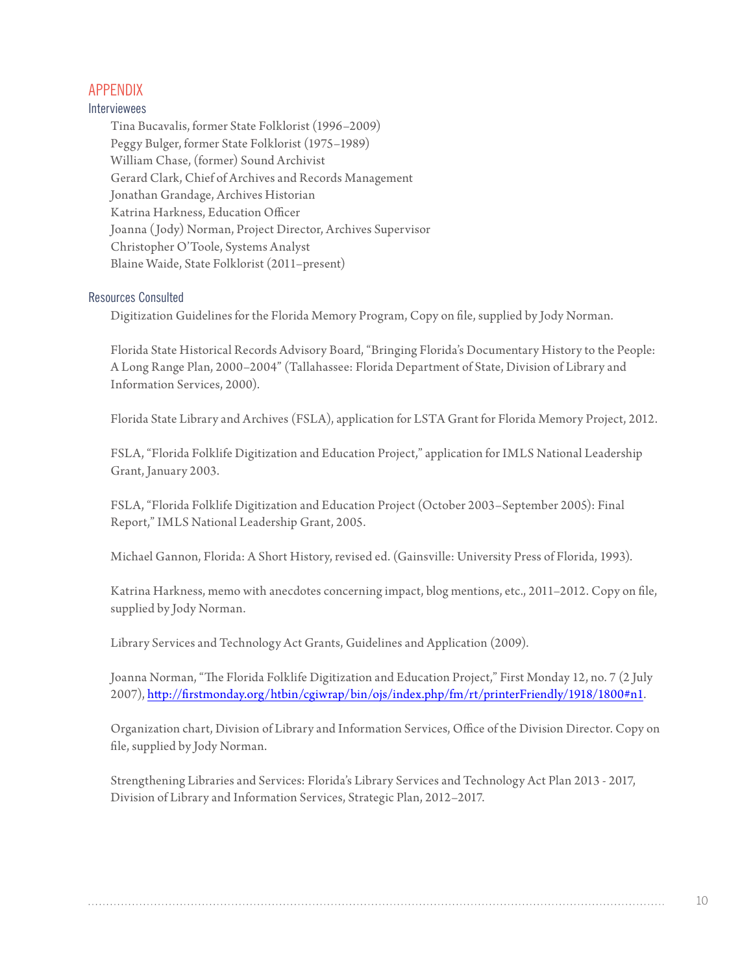## APPENDIX

#### Interviewees

Tina Bucavalis, former State Folklorist (1996–2009) Peggy Bulger, former State Folklorist (1975–1989) William Chase, (former) Sound Archivist Gerard Clark, Chief of Archives and Records Management Jonathan Grandage, Archives Historian Katrina Harkness, Education Officer Joanna (Jody) Norman, Project Director, Archives Supervisor Christopher O'Toole, Systems Analyst Blaine Waide, State Folklorist (2011–present)

#### Resources Consulted

Digitization Guidelines for the Florida Memory Program, Copy on file, supplied by Jody Norman.

Florida State Historical Records Advisory Board, "Bringing Florida's Documentary History to the People: A Long Range Plan, 2000–2004" (Tallahassee: Florida Department of State, Division of Library and Information Services, 2000).

Florida State Library and Archives (FSLA), application for LSTA Grant for Florida Memory Project, 2012.

FSLA, "Florida Folklife Digitization and Education Project," application for IMLS National Leadership Grant, January 2003.

FSLA, "Florida Folklife Digitization and Education Project (October 2003–September 2005): Final Report," IMLS National Leadership Grant, 2005.

Michael Gannon, Florida: A Short History, revised ed. (Gainsville: University Press of Florida, 1993).

Katrina Harkness, memo with anecdotes concerning impact, blog mentions, etc., 2011–2012. Copy on file, supplied by Jody Norman.

Library Services and Technology Act Grants, Guidelines and Application (2009).

Joanna Norman, "The Florida Folklife Digitization and Education Project," First Monday 12, no. 7 (2 July 2007), [http://firstmonday.org/htbin/cgiwrap/bin/ojs/index.php/fm/rt/printerFriendly/1918/1800#](http://firstmonday.org/htbin/cgiwrap/bin/ojs/index.php/fm/rt/printerFriendly/1918/1800#n1)n1.

Organization chart, Division of Library and Information Services, Office of the Division Director. Copy on file, supplied by Jody Norman.

Strengthening Libraries and Services: Florida's Library Services and Technology Act Plan 2013 - 2017, Division of Library and Information Services, Strategic Plan, 2012–2017.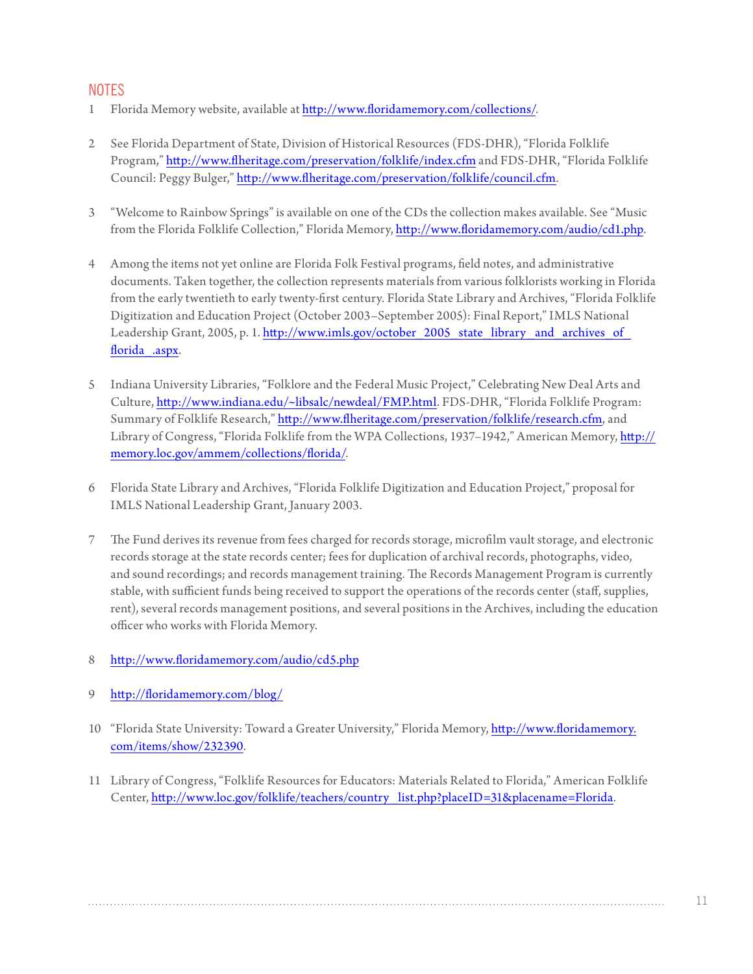## **NOTES**

- <span id="page-10-0"></span>1 Florida Memory website, available at [http://www.floridamemory.com/collections/](http://www.floridamemory.com/collections).
- <span id="page-10-1"></span>2 See Florida Department of State, Division of Historical Resources (FDS-DHR), "Florida Folklife Program,"<http://www.flheritage.com/preservation/folklife/index.cfm> and FDS-DHR, "Florida Folklife Council: Peggy Bulger," <http://www.flheritage.com/preservation/folklife/council.cfm>.
- <span id="page-10-2"></span>3 "Welcome to Rainbow Springs" is available on one of the CDs the collection makes available. See "Music from the Florida Folklife Collection," Florida Memory,<http://www.floridamemory.com/audio/cd1.php>.
- <span id="page-10-3"></span>4 Among the items not yet online are Florida Folk Festival programs, field notes, and administrative documents. Taken together, the collection represents materials from various folklorists working in Florida from the early twentieth to early twenty-first century. Florida State Library and Archives, "Florida Folklife Digitization and Education Project (October 2003–September 2005): Final Report," IMLS National Leadership Grant, 2005, p. 1. http://www.imls.gov/october\_2005\_state\_library\_and\_archives\_of florida .aspx.
- <span id="page-10-4"></span>5 Indiana University Libraries, "Folklore and the Federal Music Project," Celebrating New Deal Arts and Culture,<http://www.indiana.edu/~libsalc/newdeal/FMP.html>. FDS-DHR, "Florida Folklife Program: Summary of Folklife Research," [http://www.flheritage.com/preservation/folklife/research.cfm,](http://www.flheritage.com/preservation/folklife/research.cfm) and Library of Congress, "Florida Folklife from the WPA Collections, 1937–1942," American Memory, [http://](http://memory.loc.gov/ammem/collections/florida) [memory.loc.gov/ammem/collections/florida](http://memory.loc.gov/ammem/collections/florida)/.
- <span id="page-10-5"></span>6 Florida State Library and Archives, "Florida Folklife Digitization and Education Project," proposal for IMLS National Leadership Grant, January 2003.
- <span id="page-10-6"></span>7 The Fund derives its revenue from fees charged for records storage, microfilm vault storage, and electronic records storage at the state records center; fees for duplication of archival records, photographs, video, and sound recordings; and records management training. The Records Management Program is currently stable, with sufficient funds being received to support the operations of the records center (staff, supplies, rent), several records management positions, and several positions in the Archives, including the education officer who works with Florida Memory.
- <span id="page-10-7"></span>8 <http://www.floridamemory.com/audio/cd5.php>
- <span id="page-10-8"></span>9 <http://floridamemory.com/blog>/
- <span id="page-10-9"></span>10 "Florida State University: Toward a Greater University," Florida Memory, [http://www.floridamemory.](http://www.floridamemory.com/items/show/232390) [com/items/show/232390.](http://www.floridamemory.com/items/show/232390)
- <span id="page-10-10"></span>11 Library of Congress, "Folklife Resources for Educators: Materials Related to Florida," American Folklife Center, [http://www.loc.gov/folklife/teachers/country\\_list.php?placeID=31&placename=Florida.](http://www.loc.gov/folklife/teachers/country_list.php?placeID=31&placename=Florida.)